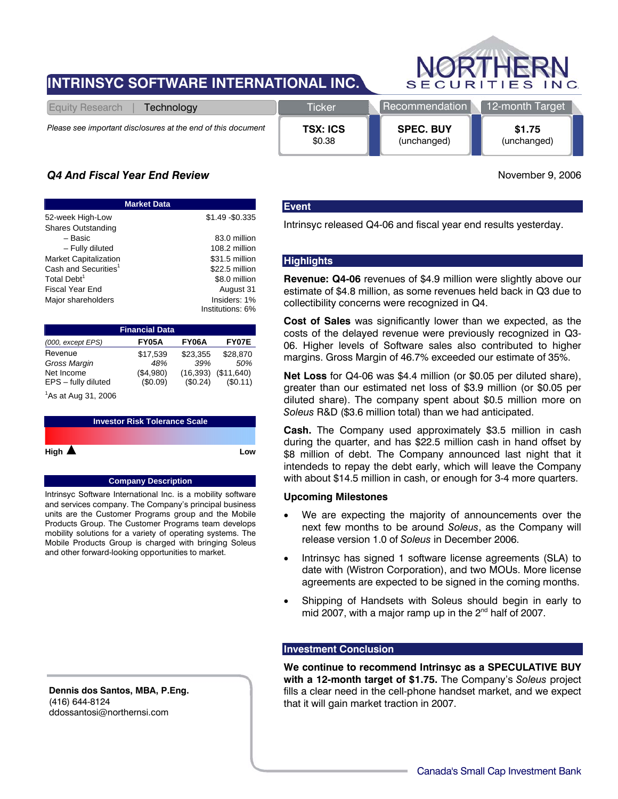# **INTRINSYC SOFTWARE INTERNATIONAL INC.**



| Technology<br>Equity Research                                | <b>Ticker</b>   | Recommendation   | 12-month Target |
|--------------------------------------------------------------|-----------------|------------------|-----------------|
| Please see important disclosures at the end of this document | <b>TSX: ICS</b> | <b>SPEC. BUY</b> | \$1.75          |
|                                                              | \$0.38          | (unchanged)      | (unchanged)     |

## *Q4 And Fiscal Year End Review* November 9, 2006

| <b>Market Data</b>               |                  |  |  |  |  |
|----------------------------------|------------------|--|--|--|--|
| 52-week High-Low                 | \$1.49 - \$0.335 |  |  |  |  |
| <b>Shares Outstanding</b>        |                  |  |  |  |  |
| – Basic                          | 83.0 million     |  |  |  |  |
| - Fully diluted                  | 108.2 million    |  |  |  |  |
| <b>Market Capitalization</b>     | \$31.5 million   |  |  |  |  |
| Cash and Securities <sup>1</sup> | \$22.5 million   |  |  |  |  |
| Total Debt <sup>1</sup>          | \$8.0 million    |  |  |  |  |
| <b>Fiscal Year End</b>           | August 31        |  |  |  |  |
| Major shareholders               | Insiders: 1%     |  |  |  |  |
|                                  | Institutions: 6% |  |  |  |  |

| <b>Financial Data</b>      |           |           |              |  |  |  |
|----------------------------|-----------|-----------|--------------|--|--|--|
| $(000, \text{except EPS})$ | FY05A     | FY06A     | <b>FY07E</b> |  |  |  |
| Revenue                    | \$17,539  | \$23,355  | \$28,870     |  |  |  |
| Gross Margin               | 48%       | 39%       | 50%          |  |  |  |
| Net Income                 | (\$4,980) | (16, 393) | (\$11,640)   |  |  |  |
| EPS - fully diluted        | (\$0.09)  | (\$0.24)  | (S0.11)      |  |  |  |
| $1$ As at Aug 31, 2006     |           |           |              |  |  |  |

**Investor Risk Tolerance Scale High Low**

#### **Company Description**

Intrinsyc Software International Inc. is a mobility software and services company. The Company's principal business units are the Customer Programs group and the Mobile Products Group. The Customer Programs team develops mobility solutions for a variety of operating systems. The Mobile Products Group is charged with bringing Soleus and other forward-looking opportunities to market.

**Dennis dos Santos, MBA, P.Eng.**  (416) 644-8124 ddossantosi@northernsi.com

### **Event**

Intrinsyc released Q4-06 and fiscal year end results yesterday.

### **Highlights**

**Revenue: Q4-06** revenues of \$4.9 million were slightly above our estimate of \$4.8 million, as some revenues held back in Q3 due to collectibility concerns were recognized in Q4.

**Cost of Sales** was significantly lower than we expected, as the costs of the delayed revenue were previously recognized in Q3- 06. Higher levels of Software sales also contributed to higher margins. Gross Margin of 46.7% exceeded our estimate of 35%.

**Net Loss** for Q4-06 was \$4.4 million (or \$0.05 per diluted share), greater than our estimated net loss of \$3.9 million (or \$0.05 per diluted share). The company spent about \$0.5 million more on *Soleus* R&D (\$3.6 million total) than we had anticipated.

**Cash.** The Company used approximately \$3.5 million in cash during the quarter, and has \$22.5 million cash in hand offset by \$8 million of debt. The Company announced last night that it intendeds to repay the debt early, which will leave the Company with about \$14.5 million in cash, or enough for 3-4 more quarters.

#### **Upcoming Milestones**

- We are expecting the majority of announcements over the next few months to be around *Soleus*, as the Company will release version 1.0 of *Soleus* in December 2006.
- Intrinsyc has signed 1 software license agreements (SLA) to date with (Wistron Corporation), and two MOUs. More license agreements are expected to be signed in the coming months.
- Shipping of Handsets with Soleus should begin in early to mid 2007, with a major ramp up in the 2<sup>nd</sup> half of 2007.

### **Investment Conclusion**

**We continue to recommend Intrinsyc as a SPECULATIVE BUY with a 12-month target of \$1.75.** The Company's *Soleus* project fills a clear need in the cell-phone handset market, and we expect that it will gain market traction in 2007.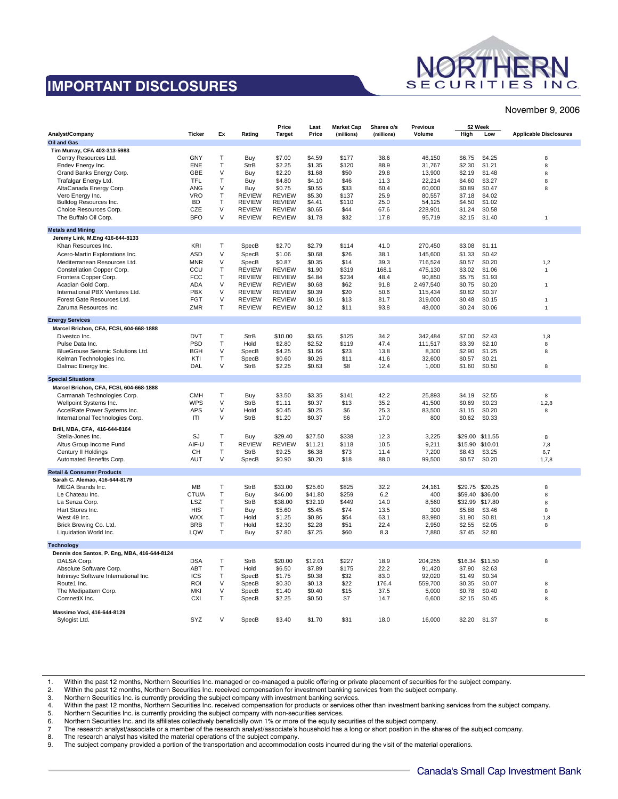# **IMPORTANT DISCLOSURES**



#### November 9, 2006

|                                                                        |                   |              |                                | Price                          | Last             | <b>Market Cap</b> | Shares o/s   | Previous         | 52 Week          |                  |                               |
|------------------------------------------------------------------------|-------------------|--------------|--------------------------------|--------------------------------|------------------|-------------------|--------------|------------------|------------------|------------------|-------------------------------|
| Analyst/Company                                                        | <b>Ticker</b>     | Ex           | Rating                         | <b>Target</b>                  | Price            | (millions)        | (millions)   | Volume           | High             | Low              | <b>Applicable Disclosures</b> |
| Oil and Gas                                                            |                   |              |                                |                                |                  |                   |              |                  |                  |                  |                               |
| Tim Murray, CFA 403-313-5983                                           |                   |              |                                |                                |                  |                   |              |                  |                  |                  |                               |
| Gentry Resources Ltd.                                                  | GNY               | T            | Buy                            | \$7.00                         | \$4.59           | \$177             | 38.6         | 46,150           | \$6.75           | \$4.25           | 8                             |
| Endev Energy Inc.                                                      | <b>ENE</b>        | T            | <b>StrB</b>                    | \$2.25                         | \$1.35           | \$120             | 88.9         | 31,767           | \$2.30           | \$1.21           | 8                             |
| Grand Banks Energy Corp.                                               | GBE               | $\vee$       | Buy                            | \$2.20                         | \$1.68           | \$50              | 29.8         | 13,900           | \$2.19           | \$1.48           | 8                             |
| Trafalgar Energy Ltd.                                                  | <b>TFL</b>        | $\mathsf{T}$ | Buy                            | \$4.80                         | \$4.10           | \$46              | 11.3         | 22,214           | \$4.60           | \$3.27           | 8                             |
| AltaCanada Energy Corp.                                                | ANG<br><b>VRO</b> | $\vee$       | Buy                            | \$0.75                         | \$0.55           | \$33              | 60.4         | 60,000           | \$0.89           | \$0.47           | 8                             |
| Vero Energy Inc.<br>Bulldog Resources Inc.                             | <b>BD</b>         | T<br>T       | <b>REVIEW</b><br><b>REVIEW</b> | <b>REVIEW</b><br><b>REVIEW</b> | \$5.30<br>\$4.41 | \$137<br>\$110    | 25.9<br>25.0 | 80.557<br>54,125 | \$7.18<br>\$4.50 | \$4.02<br>\$1.02 |                               |
| Choice Resources Corp.                                                 | CZE               | $\vee$       | <b>REVIEW</b>                  | <b>REVIEW</b>                  | \$0.65           | \$44              | 67.6         | 228,901          | \$1.24           | \$0.58           |                               |
| The Buffalo Oil Corp.                                                  | <b>BFO</b>        | $\vee$       | <b>REVIEW</b>                  | <b>REVIEW</b>                  | \$1.78           | \$32              | 17.8         | 95,719           | \$2.15           | \$1.40           | 1                             |
|                                                                        |                   |              |                                |                                |                  |                   |              |                  |                  |                  |                               |
| <b>Metals and Mining</b>                                               |                   |              |                                |                                |                  |                   |              |                  |                  |                  |                               |
| Jeremy Link, M.Eng 416-644-8133                                        |                   |              |                                |                                |                  |                   |              |                  |                  |                  |                               |
| Khan Resources Inc.                                                    | KRI               | $\mathsf{T}$ | SpecB                          | \$2.70                         | \$2.79           | \$114             | 41.0         | 270,450          | \$3.08           | \$1.11           |                               |
| Acero-Martin Explorations Inc.                                         | <b>ASD</b>        | $\vee$       | SpecB                          | \$1.06                         | \$0.68           | \$26              | 38.1         | 145,600          | \$1.33           | \$0.42           |                               |
| Mediterranean Resources Ltd.                                           | <b>MNR</b>        | $\vee$       | SpecB                          | \$0.87                         | \$0.35           | \$14              | 39.3         | 716,524          | \$0.57           | \$0.20           | 1,2                           |
| Constellation Copper Corp.                                             | CCU               | T            | <b>REVIEW</b>                  | <b>REVIEW</b>                  | \$1.90           | \$319             | 168.1        | 475,130          | \$3.02           | \$1.06           | $\mathbf{1}$                  |
| Frontera Copper Corp.                                                  | <b>FCC</b>        | $\top$       | <b>REVIEW</b>                  | <b>REVIEW</b>                  | \$4.84           | \$234             | 48.4         | 90,850           | \$5.75           | \$1.93           |                               |
| Acadian Gold Corp.                                                     | <b>ADA</b>        | V            | <b>REVIEW</b>                  | <b>REVIEW</b>                  | \$0.68           | \$62              | 91.8         | 2,497,540        | \$0.75           | \$0.20           | $\mathbf{1}$                  |
| International PBX Ventures Ltd.                                        | <b>PBX</b>        | $\vee$       | <b>REVIEW</b>                  | <b>REVIEW</b>                  | \$0.39           | \$20              | 50.6         | 115,434          | \$0.82           | \$0.37           |                               |
| Forest Gate Resources Ltd.                                             | <b>FGT</b>        | V            | <b>REVIEW</b>                  | <b>REVIEW</b>                  | \$0.16           | \$13              | 81.7         | 319,000          | \$0.48           | \$0.15           | $\overline{1}$                |
| Zaruma Resources Inc.                                                  | ZMR               | T            | <b>REVIEW</b>                  | <b>REVIEW</b>                  | \$0.12           | \$11              | 93.8         | 48,000           | \$0.24           | \$0.06           | $\mathbf{1}$                  |
| <b>Energy Services</b>                                                 |                   |              |                                |                                |                  |                   |              |                  |                  |                  |                               |
| Marcel Brichon, CFA, FCSI, 604-668-1888                                |                   |              |                                |                                |                  |                   |              |                  |                  |                  |                               |
| Divestco Inc.                                                          | <b>DVT</b>        | $\mathsf{T}$ | <b>StrB</b>                    | \$10.00                        | \$3.65           | \$125             | 34.2         | 342,484          | \$7.00           | \$2.43           | 1,8                           |
| Pulse Data Inc.                                                        | <b>PSD</b>        | T            | Hold                           | \$2.80                         | \$2.52           | \$119             | 47.4         | 111,517          | \$3.39           | \$2.10           | 8                             |
| BlueGrouse Seismic Solutions Ltd.                                      | <b>BGH</b>        | $\vee$       | SpecB                          | \$4.25                         | \$1.66           | \$23              | 13.8         | 8,300            | \$2.90           | \$1.25           | 8                             |
| Kelman Technologies Inc.                                               | KTI               | T            | SpecB                          | \$0.60                         | \$0.26           | \$11              | 41.6         | 32,600           | \$0.57           | \$0.21           |                               |
| Dalmac Energy Inc.                                                     | DAL               | V            | <b>StrB</b>                    | \$2.25                         | \$0.63           | \$8               | 12.4         | 1,000            | \$1.60           | \$0.50           | 8                             |
| <b>Special Situations</b>                                              |                   |              |                                |                                |                  |                   |              |                  |                  |                  |                               |
| Marcel Brichon, CFA, FCSI, 604-668-1888                                |                   |              |                                |                                |                  |                   |              |                  |                  |                  |                               |
| Carmanah Technologies Corp.                                            | <b>CMH</b>        | $\top$       | Buy                            | \$3.50                         | \$3.35           | \$141             | 42.2         | 25,893           | \$4.19           | \$2.55           | 8                             |
| Wellpoint Systems Inc.                                                 | <b>WPS</b>        | V            | <b>StrB</b>                    | \$1.11                         | \$0.37           | \$13              | 35.2         | 41,500           | \$0.69           | \$0.23           | 1,2,8                         |
| AccelRate Power Systems Inc.                                           | <b>APS</b>        | $\vee$       | Hold                           | \$0.45                         | \$0.25           | \$6               | 25.3         | 83,500           | \$1.15           | \$0.20           | 8                             |
| International Technologies Corp.                                       | ITI               | $\vee$       | <b>StrB</b>                    | \$1.20                         | \$0.37           | \$6               | 17.0         | 800              | \$0.62           | \$0.33           |                               |
| Brill, MBA, CFA, 416-644-8164                                          |                   |              |                                |                                |                  |                   |              |                  |                  |                  |                               |
| Stella-Jones Inc.                                                      | SJ                | $\top$       | Buy                            | \$29.40                        | \$27.50          | \$338             | 12.3         | 3,225            | \$29.00          | \$11.55          | 8                             |
| Altus Group Income Fund                                                | AIF-U             | T            | <b>REVIEW</b>                  | <b>REVIEW</b>                  | \$11.21          | \$118             | 10.5         | 9,211            | \$15.90          | \$10.01          | 7,8                           |
| Century II Holdings                                                    | CН                | T            | <b>StrB</b>                    | \$9.25                         | \$6.38           | \$73              | 11.4         | 7,200            | \$8.43           | \$3.25           | 6,7                           |
| Automated Benefits Corp.                                               | <b>AUT</b>        | $\vee$       | SpecB                          | \$0.90                         | \$0.20           | \$18              | 88.0         | 99,500           | \$0.57           | \$0.20           | 1,7,8                         |
|                                                                        |                   |              |                                |                                |                  |                   |              |                  |                  |                  |                               |
| <b>Retail &amp; Consumer Products</b><br>Sarah C. Alemao, 416-644-8179 |                   |              |                                |                                |                  |                   |              |                  |                  |                  |                               |
| MEGA Brands Inc.                                                       | MB                | Т            | <b>StrB</b>                    | \$33.00                        | \$25.60          | \$825             | 32.2         | 24,161           | \$29.75          | \$20.25          | 8                             |
| Le Chateau Inc.                                                        | CTU/A             | $\top$       | Buy                            | \$46.00                        | \$41.80          | \$259             | 6.2          | 400              | \$59.40          | \$36.00          | 8                             |
| La Senza Corp.                                                         | LSZ               | T            | <b>StrB</b>                    | \$38.00                        | \$32.10          | \$449             | 14.0         | 8,560            | \$32.99          | \$17.80          | 8                             |
| Hart Stores Inc.                                                       | <b>HIS</b>        | T            | Buy                            | \$5.60                         | \$5.45           | \$74              | 13.5         | 300              | \$5.88           | \$3.46           | 8                             |
| West 49 Inc.                                                           | <b>WXX</b>        | T            | Hold                           | \$1.25                         | \$0.86           | \$54              | 63.1         | 83,980           | \$1.90           | \$0.81           | 1,8                           |
| Brick Brewing Co. Ltd.                                                 | <b>BRB</b>        | T            | Hold                           | \$2.30                         | \$2.28           | \$51              | 22.4         | 2,950            | \$2.55           | \$2.05           | 8                             |
| Liquidation World Inc.                                                 | LQW               | T            | Buy                            | \$7.80                         | \$7.25           | \$60              | 8.3          | 7,880            | \$7.45           | \$2.80           |                               |
|                                                                        |                   |              |                                |                                |                  |                   |              |                  |                  |                  |                               |
| <b>Technology</b><br>Dennis dos Santos, P. Eng, MBA, 416-644-8124      |                   |              |                                |                                |                  |                   |              |                  |                  |                  |                               |
| DALSA Corp.                                                            | <b>DSA</b>        | T            | <b>StrB</b>                    | \$20.00                        | \$12.01          | \$227             | 18.9         | 204,255          | \$16.34 \$11.50  |                  |                               |
| Absolute Software Corp.                                                | ABT               | T            | Hold                           | \$6.50                         | \$7.89           | \$175             | 22.2         | 91,420           | \$7.90           | \$2.63           | 8                             |
| Intrinsyc Software International Inc.                                  | ICS               | T            | SpecB                          | \$1.75                         | \$0.38           | \$32              | 83.0         | 92,020           | \$1.49           | \$0.34           |                               |
| Route1 Inc.                                                            | <b>ROI</b>        | $\vee$       | SpecB                          | \$0.30                         | \$0.13           | \$22              | 176.4        | 559,700          | \$0.35           | \$0.07           | 8                             |
| The Medipattern Corp.                                                  | <b>MKI</b>        | V            | SpecB                          | \$1.40                         | \$0.40           | \$15              | 37.5         | 5,000            | \$0.78           | \$0.40           | 8                             |
| ComnetiX Inc.                                                          | <b>CXI</b>        | T            | SpecB                          | \$2.25                         | \$0.50           | \$7               | 14.7         | 6,600            | \$2.15           | \$0.45           | 8                             |
|                                                                        |                   |              |                                |                                |                  |                   |              |                  |                  |                  |                               |
| Massimo Voci, 416-644-8129                                             |                   |              |                                |                                |                  |                   |              |                  |                  |                  |                               |
| Sylogist Ltd.                                                          | SYZ               | $\vee$       | SpecB                          | \$3.40                         | \$1.70           | \$31              | 18.0         | 16.000           | \$2.20           | \$1.37           | 8                             |

1. Within the past 12 months, Northern Securities Inc. managed or co-managed a public offering or private placement of securities for the subject company.<br>2. Within the past 12 months, Northern Securities Inc. received com

2. Within the past 12 months, Northern Securities Inc. received compensation for investment banking services from the subject company.

Northern Securities Inc. is currently providing the subject company with investment banking services.

4. Within the past 12 months, Northern Securities Inc. received compensation for products or services other than investment banking services from the subject company.<br>5. Northern Securities Inc. is currently providing the

5. Northern Securities Inc. is currently providing the subject company with non-securities services.<br>6. Northern Securities Inc. and its affiliates collectively beneficially own 1% or more of the equity se

6. Northern Securities Inc. and its affiliates collectively beneficially own 1% or more of the equity securities of the subject company.

7 The research analyst/associate or a member of the research analyst/associate's household has a long or short position in the shares of the subject company. The research analyst has visited the material operations of the subject company.

9. The subject company provided a portion of the transportation and accommodation costs incurred during the visit of the material operations.